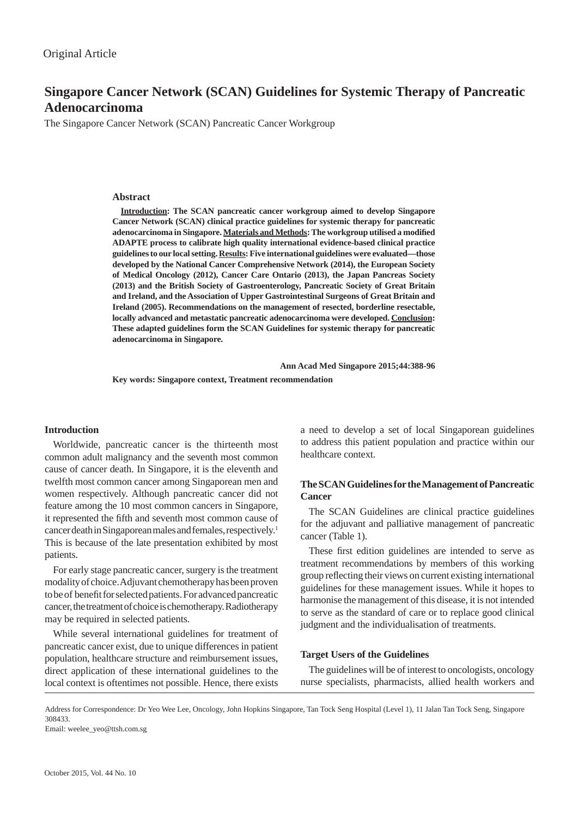# **Singapore Cancer Network (SCAN) Guidelines for Systemic Therapy of Pancreatic Adenocarcinoma**

The Singapore Cancer Network (SCAN) Pancreatic Cancer Workgroup

# **Abstract**

**Introduction: The SCAN pancreatic cancer workgroup aimed to develop Singapore Cancer Network (SCAN) clinical practice guidelines for systemic therapy for pancreatic**  adenocarcinoma in Singapore. Materials and Methods: The workgroup utilised a modified **ADAPTE process to calibrate high quality international evidence-based clinical practice guidelines to our local setting. Results: Five international guidelines were evaluated—those developed by the National Cancer Comprehensive Network (2014), the European Society of Medical Oncology (2012), Cancer Care Ontario (2013), the Japan Pancreas Society (2013) and the British Society of Gastroenterology, Pancreatic Society of Great Britain and Ireland, and the Association of Upper Gastrointestinal Surgeons of Great Britain and Ireland (2005). Recommendations on the management of resected, borderline resectable, locally advanced and metastatic pancreatic adenocarcinoma were developed. Conclusion: These adapted guidelines form the SCAN Guidelines for systemic therapy for pancreatic adenocarcinoma in Singapore.**

 **Ann Acad Med Singapore 2015;44:388-96**

**Key words: Singapore context, Treatment recommendation**

# **Introduction**

Worldwide, pancreatic cancer is the thirteenth most common adult malignancy and the seventh most common cause of cancer death. In Singapore, it is the eleventh and twelfth most common cancer among Singaporean men and women respectively. Although pancreatic cancer did not feature among the 10 most common cancers in Singapore, it represented the fifth and seventh most common cause of cancer death in Singaporean males and females, respectively.1 This is because of the late presentation exhibited by most patients.

For early stage pancreatic cancer, surgery is the treatment modality of choice. Adjuvant chemotherapy has been proven to be of benefit for selected patients. For advanced pancreatic cancer, the treatment of choice is chemotherapy. Radiotherapy may be required in selected patients.

While several international guidelines for treatment of pancreatic cancer exist, due to unique differences in patient population, healthcare structure and reimbursement issues, direct application of these international guidelines to the local context is oftentimes not possible. Hence, there exists a need to develop a set of local Singaporean guidelines to address this patient population and practice within our healthcare context.

# **The SCAN Guidelines for the Management of Pancreatic Cancer**

The SCAN Guidelines are clinical practice guidelines for the adjuvant and palliative management of pancreatic cancer (Table 1).

These first edition guidelines are intended to serve as treatment recommendations by members of this working group reflecting their views on current existing international guidelines for these management issues. While it hopes to harmonise the management of this disease, it is not intended to serve as the standard of care or to replace good clinical judgment and the individualisation of treatments.

# **Target Users of the Guidelines**

The guidelines will be of interest to oncologists, oncology nurse specialists, pharmacists, allied health workers and

Address for Correspondence: Dr Yeo Wee Lee, Oncology, John Hopkins Singapore, Tan Tock Seng Hospital (Level 1), 11 Jalan Tan Tock Seng, Singapore 308433.

Email: weelee\_yeo@ttsh.com.sg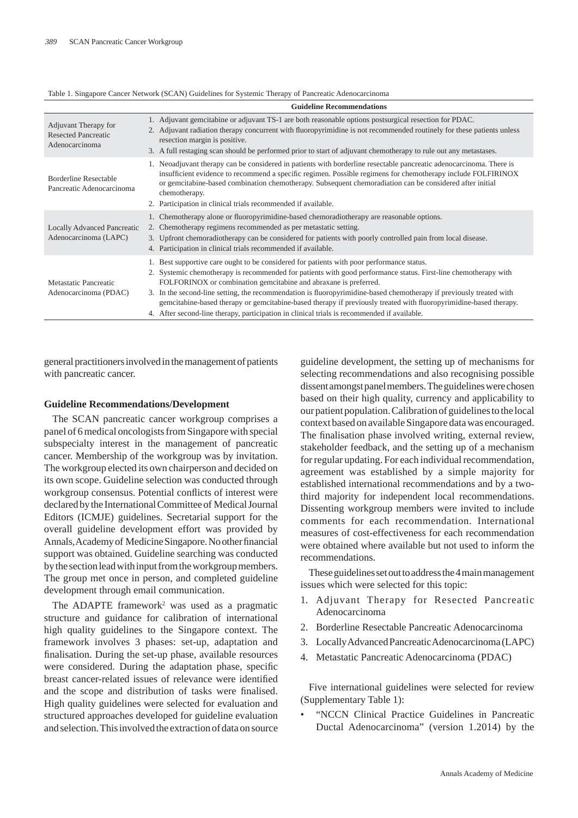| Table 1. Singapore Cancer Network (SCAN) Guidelines for Systemic Therapy of Pancreatic Adenocarcinoma |  |  |
|-------------------------------------------------------------------------------------------------------|--|--|
|                                                                                                       |  |  |

|                                                                      | <b>Guideline Recommendations</b>                                                                                                                                                                                                                                                                                                                                                                                                                                                                                                                                                                                            |
|----------------------------------------------------------------------|-----------------------------------------------------------------------------------------------------------------------------------------------------------------------------------------------------------------------------------------------------------------------------------------------------------------------------------------------------------------------------------------------------------------------------------------------------------------------------------------------------------------------------------------------------------------------------------------------------------------------------|
| Adjuvant Therapy for<br><b>Resected Pancreatic</b><br>Adenocarcinoma | 1. Adjuvant gemcitabine or adjuvant TS-1 are both reasonable options postsurgical resection for PDAC.<br>2. Adjuvant radiation therapy concurrent with fluoropyrimidine is not recommended routinely for these patients unless<br>resection margin is positive.<br>3. A full restaging scan should be performed prior to start of adjuvant chemotherapy to rule out any metastases.                                                                                                                                                                                                                                         |
| Borderline Resectable<br>Pancreatic Adenocarcinoma                   | 1. Neoadjuvant therapy can be considered in patients with borderline resectable pancreatic adenocarcinoma. There is<br>insufficient evidence to recommend a specific regimen. Possible regimens for chemotherapy include FOLFIRINOX<br>or gemeitabine-based combination chemotherapy. Subsequent chemoradiation can be considered after initial<br>chemotherapy.<br>2. Participation in clinical trials recommended if available.                                                                                                                                                                                           |
| <b>Locally Advanced Pancreatic</b><br>Adenocarcinoma (LAPC)          | 1. Chemotherapy alone or fluoropyrimidine-based chemoradiotherapy are reasonable options.<br>2. Chemotherapy regimens recommended as per metastatic setting.<br>3. Upfront chemoradiotherapy can be considered for patients with poorly controlled pain from local disease.<br>4. Participation in clinical trials recommended if available.                                                                                                                                                                                                                                                                                |
| Metastatic Pancreatic<br>Adenocarcinoma (PDAC)                       | 1. Best supportive care ought to be considered for patients with poor performance status.<br>2. Systemic chemotherapy is recommended for patients with good performance status. First-line chemotherapy with<br>FOLFORINOX or combination gemcitabine and abraxane is preferred.<br>3. In the second-line setting, the recommendation is fluoropyrimidine-based chemotherapy if previously treated with<br>gemcitabine-based therapy or gemcitabine-based therapy if previously treated with fluoropyrimidine-based therapy.<br>4. After second-line therapy, participation in clinical trials is recommended if available. |

general practitioners involved in the management of patients with pancreatic cancer.

#### **Guideline Recommendations/Development**

The SCAN pancreatic cancer workgroup comprises a panel of 6 medical oncologists from Singapore with special subspecialty interest in the management of pancreatic cancer. Membership of the workgroup was by invitation. The workgroup elected its own chairperson and decided on its own scope. Guideline selection was conducted through workgroup consensus. Potential conflicts of interest were declared by the International Committee of Medical Journal Editors (ICMJE) guidelines. Secretarial support for the overall guideline development effort was provided by Annals, Academy of Medicine Singapore. No other financial support was obtained. Guideline searching was conducted by the section lead with input from the workgroup members. The group met once in person, and completed guideline development through email communication.

The ADAPTE framework<sup>2</sup> was used as a pragmatic structure and guidance for calibration of international high quality guidelines to the Singapore context. The framework involves 3 phases: set-up, adaptation and finalisation. During the set-up phase, available resources were considered. During the adaptation phase, specific breast cancer-related issues of relevance were identified and the scope and distribution of tasks were finalised. High quality guidelines were selected for evaluation and structured approaches developed for guideline evaluation and selection. This involved the extraction of data on source

guideline development, the setting up of mechanisms for selecting recommendations and also recognising possible dissent amongst panel members. The guidelines were chosen based on their high quality, currency and applicability to our patient population. Calibration of guidelines to the local context based on available Singapore data was encouraged. The finalisation phase involved writing, external review, stakeholder feedback, and the setting up of a mechanism for regular updating. For each individual recommendation, agreement was established by a simple majority for established international recommendations and by a twothird majority for independent local recommendations. Dissenting workgroup members were invited to include comments for each recommendation. International measures of cost-effectiveness for each recommendation were obtained where available but not used to inform the recommendations.

These guidelines set out to address the 4 main management issues which were selected for this topic:

- 1. Adjuvant Therapy for Resected Pancreatic Adenocarcinoma
- 2. Borderline Resectable Pancreatic Adenocarcinoma
- 3. Locally Advanced Pancreatic Adenocarcinoma (LAPC)
- 4. Metastatic Pancreatic Adenocarcinoma (PDAC)

Five international guidelines were selected for review (Supplementary Table 1):

• "NCCN Clinical Practice Guidelines in Pancreatic Ductal Adenocarcinoma" (version 1.2014) by the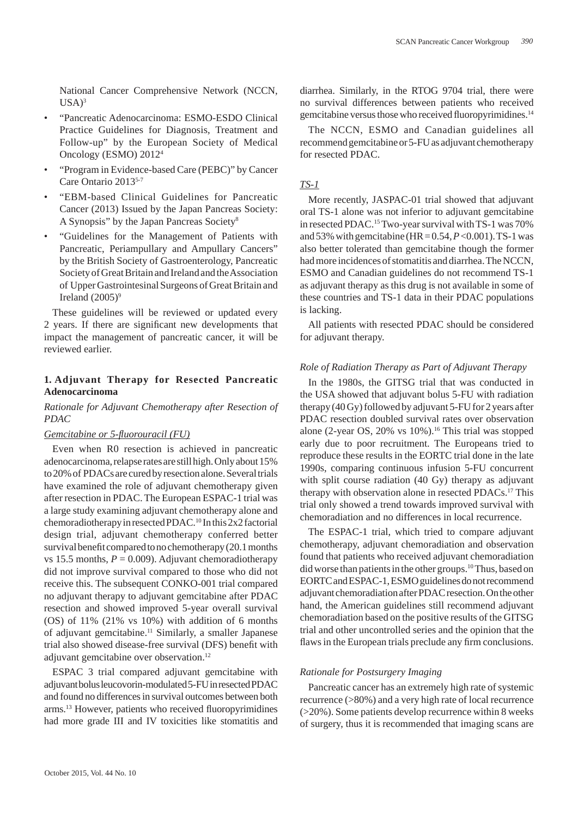National Cancer Comprehensive Network (NCCN,  $USA)^3$ 

- "Pancreatic Adenocarcinoma: ESMO-ESDO Clinical Practice Guidelines for Diagnosis, Treatment and Follow-up" by the European Society of Medical Oncology (ESMO) 20124
- "Program in Evidence-based Care (PEBC)" by Cancer Care Ontario 20135-7
- "EBM-based Clinical Guidelines for Pancreatic Cancer (2013) Issued by the Japan Pancreas Society: A Synopsis" by the Japan Pancreas Society8
- "Guidelines for the Management of Patients with Pancreatic, Periampullary and Ampullary Cancers" by the British Society of Gastroenterology, Pancreatic Society of Great Britain and Ireland and the Association of Upper Gastrointesinal Surgeons of Great Britain and Ireland  $(2005)^9$

These guidelines will be reviewed or updated every 2 years. If there are significant new developments that impact the management of pancreatic cancer, it will be reviewed earlier.

# **1. Adjuvant Therapy for Resected Pancreatic Adenocarcinoma**

# *Rationale for Adjuvant Chemotherapy after Resection of PDAC*

# *Gemcitabine or 5-fluorouracil* (FU)

Even when R0 resection is achieved in pancreatic adenocarcinoma, relapse rates are still high. Only about 15% to 20% of PDACs are cured by resection alone. Several trials have examined the role of adjuvant chemotherapy given after resection in PDAC. The European ESPAC-1 trial was a large study examining adjuvant chemotherapy alone and chemoradiotherapy in resected PDAC.10 In this 2x2 factorial design trial, adjuvant chemotherapy conferred better survival benefit compared to no chemotherapy (20.1 months vs 15.5 months,  $P = 0.009$ ). Adjuvant chemoradiotherapy did not improve survival compared to those who did not receive this. The subsequent CONKO-001 trial compared no adjuvant therapy to adjuvant gemcitabine after PDAC resection and showed improved 5-year overall survival (OS) of 11% (21% vs 10%) with addition of 6 months of adjuvant gemcitabine.11 Similarly, a smaller Japanese trial also showed disease-free survival (DFS) benefit with adjuvant gemcitabine over observation.<sup>12</sup>

ESPAC 3 trial compared adjuvant gemcitabine with adjuvant bolus leucovorin-modulated 5-FU in resected PDAC and found no differences in survival outcomes between both arms.<sup>13</sup> However, patients who received fluoropyrimidines had more grade III and IV toxicities like stomatitis and

diarrhea. Similarly, in the RTOG 9704 trial, there were no survival differences between patients who received gemcitabine versus those who received fluoropyrimidines.<sup>14</sup>

The NCCN, ESMO and Canadian guidelines all recommend gemcitabine or 5-FU as adjuvant chemotherapy for resected PDAC.

# *TS-1*

More recently, JASPAC-01 trial showed that adjuvant oral TS-1 alone was not inferior to adjuvant gemcitabine in resected PDAC.<sup>15</sup> Two-year survival with TS-1 was 70% and 53% with gemcitabine (HR = 0.54, *P* <0.001). TS-1 was also better tolerated than gemcitabine though the former had more incidences of stomatitis and diarrhea. The NCCN, ESMO and Canadian guidelines do not recommend TS-1 as adjuvant therapy as this drug is not available in some of these countries and TS-1 data in their PDAC populations is lacking.

All patients with resected PDAC should be considered for adjuvant therapy.

#### *Role of Radiation Therapy as Part of Adjuvant Therapy*

In the 1980s, the GITSG trial that was conducted in the USA showed that adjuvant bolus 5-FU with radiation therapy (40 Gy) followed by adjuvant 5-FU for 2 years after PDAC resection doubled survival rates over observation alone (2-year OS, 20% vs 10%).<sup>16</sup> This trial was stopped early due to poor recruitment. The Europeans tried to reproduce these results in the EORTC trial done in the late 1990s, comparing continuous infusion 5-FU concurrent with split course radiation (40 Gy) therapy as adjuvant therapy with observation alone in resected PDACs.17 This trial only showed a trend towards improved survival with chemoradiation and no differences in local recurrence.

The ESPAC-1 trial, which tried to compare adjuvant chemotherapy, adjuvant chemoradiation and observation found that patients who received adjuvant chemoradiation did worse than patients in the other groups.<sup>10</sup> Thus, based on EORTC and ESPAC-1, ESMO guidelines do not recommend adjuvant chemoradiation after PDAC resection. On the other hand, the American guidelines still recommend adjuvant chemoradiation based on the positive results of the GITSG trial and other uncontrolled series and the opinion that the flaws in the European trials preclude any firm conclusions.

### *Rationale for Postsurgery Imaging*

Pancreatic cancer has an extremely high rate of systemic recurrence (>80%) and a very high rate of local recurrence (>20%). Some patients develop recurrence within 8 weeks of surgery, thus it is recommended that imaging scans are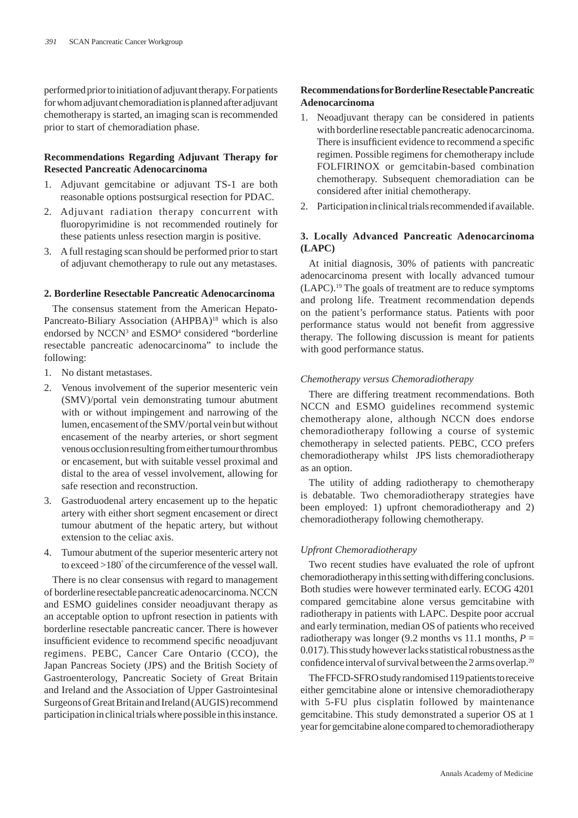performed prior to initiation of adjuvant therapy. For patients for whom adjuvant chemoradiation is planned after adjuvant chemotherapy is started, an imaging scan is recommended prior to start of chemoradiation phase.

# **Recommendations Regarding Adjuvant Therapy for Resected Pancreatic Adenocarcinoma**

- 1. Adjuvant gemcitabine or adjuvant TS-1 are both reasonable options postsurgical resection for PDAC.
- 2. Adjuvant radiation therapy concurrent with fluoropyrimidine is not recommended routinely for these patients unless resection margin is positive.
- 3. A full restaging scan should be performed prior to start of adjuvant chemotherapy to rule out any metastases.

# **2. Borderline Resectable Pancreatic Adenocarcinoma**

The consensus statement from the American Hepato-Pancreato-Biliary Association (AHPBA)<sup>18</sup> which is also endorsed by NCCN<sup>3</sup> and ESMO<sup>4</sup> considered "borderline resectable pancreatic adenocarcinoma" to include the following:

- 1. No distant metastases.
- 2. Venous involvement of the superior mesenteric vein (SMV)/portal vein demonstrating tumour abutment with or without impingement and narrowing of the lumen, encasement of the SMV/portal vein but without encasement of the nearby arteries, or short segment venous occlusion resulting from either tumour thrombus or encasement, but with suitable vessel proximal and distal to the area of vessel involvement, allowing for safe resection and reconstruction.
- 3. Gastroduodenal artery encasement up to the hepatic artery with either short segment encasement or direct tumour abutment of the hepatic artery, but without extension to the celiac axis.
- 4. Tumour abutment of the superior mesenteric artery not to exceed >180° of the circumference of the vessel wall.

There is no clear consensus with regard to management of borderline resectable pancreatic adenocarcinoma. NCCN and ESMO guidelines consider neoadjuvant therapy as an acceptable option to upfront resection in patients with borderline resectable pancreatic cancer. There is however insufficient evidence to recommend specific neoadjuvant regimens. PEBC, Cancer Care Ontario (CCO), the Japan Pancreas Society (JPS) and the British Society of Gastroenterology, Pancreatic Society of Great Britain and Ireland and the Association of Upper Gastrointesinal Surgeons of Great Britain and Ireland (AUGIS) recommend participation in clinical trials where possible in this instance.

# **Recommendations for Borderline Resectable Pancreatic Adenocarcinoma**

- 1. Neoadjuvant therapy can be considered in patients with borderline resectable pancreatic adenocarcinoma. There is insufficient evidence to recommend a specific regimen. Possible regimens for chemotherapy include FOLFIRINOX or gemcitabin-based combination chemotherapy. Subsequent chemoradiation can be considered after initial chemotherapy.
- 2. Participation in clinical trials recommended if available.

# **3. Locally Advanced Pancreatic Adenocarcinoma (LAPC)**

At initial diagnosis, 30% of patients with pancreatic adenocarcinoma present with locally advanced tumour (LAPC).19 The goals of treatment are to reduce symptoms and prolong life. Treatment recommendation depends on the patient's performance status. Patients with poor performance status would not benefit from aggressive therapy. The following discussion is meant for patients with good performance status.

# *Chemotherapy versus Chemoradiotherapy*

There are differing treatment recommendations. Both NCCN and ESMO guidelines recommend systemic chemotherapy alone, although NCCN does endorse chemoradiotherapy following a course of systemic chemotherapy in selected patients. PEBC, CCO prefers chemoradiotherapy whilst JPS lists chemoradiotherapy as an option.

The utility of adding radiotherapy to chemotherapy is debatable. Two chemoradiotherapy strategies have been employed: 1) upfront chemoradiotherapy and 2) chemoradiotherapy following chemotherapy.

# *Upfront Chemoradiotherapy*

Two recent studies have evaluated the role of upfront chemoradiotherapy in this setting with differing conclusions. Both studies were however terminated early. ECOG 4201 compared gemcitabine alone versus gemcitabine with radiotherapy in patients with LAPC. Despite poor accrual and early termination, median OS of patients who received radiotherapy was longer (9.2 months vs 11.1 months,  $P =$ 0.017). This study however lacks statistical robustness as the confidence interval of survival between the 2 arms overlap.<sup>20</sup>

The FFCD-SFRO study randomised 119 patients to receive either gemcitabine alone or intensive chemoradiotherapy with 5-FU plus cisplatin followed by maintenance gemcitabine. This study demonstrated a superior OS at 1 year for gemcitabine alone compared to chemoradiotherapy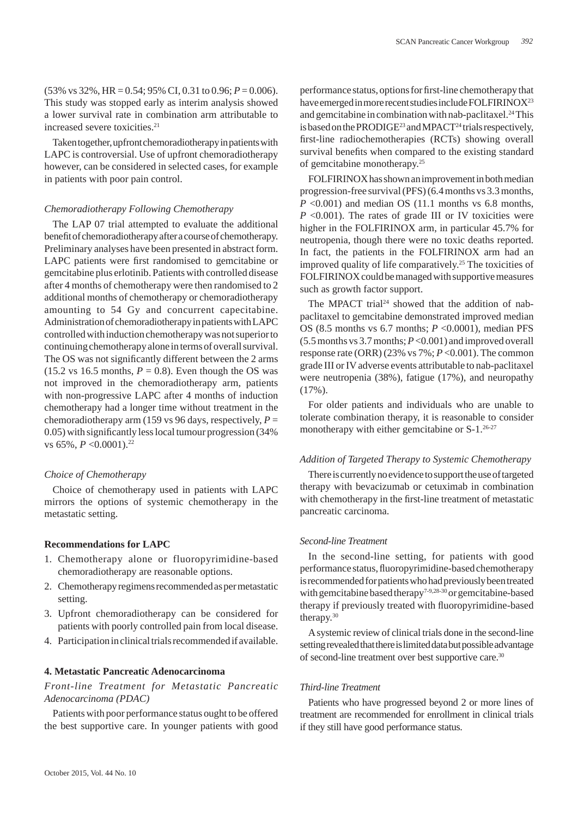(53% vs 32%, HR = 0.54; 95% CI, 0.31 to 0.96; *P* = 0.006). This study was stopped early as interim analysis showed a lower survival rate in combination arm attributable to increased severe toxicities.<sup>21</sup>

Taken together, upfront chemoradiotherapy in patients with LAPC is controversial. Use of upfront chemoradiotherapy however, can be considered in selected cases, for example in patients with poor pain control.

#### *Chemoradiotherapy Following Chemotherapy*

The LAP 07 trial attempted to evaluate the additional benefit of chemoradiotherapy after a course of chemotherapy. Preliminary analyses have been presented in abstract form. LAPC patients were first randomised to gemcitabine or gemcitabine plus erlotinib. Patients with controlled disease after 4 months of chemotherapy were then randomised to 2 additional months of chemotherapy or chemoradiotherapy amounting to 54 Gy and concurrent capecitabine. Administration of chemoradiotherapy in patients with LAPC controlled with induction chemotherapy was not superior to continuing chemotherapy alone in terms of overall survival. The OS was not significantly different between the 2 arms (15.2 vs 16.5 months,  $P = 0.8$ ). Even though the OS was not improved in the chemoradiotherapy arm, patients with non-progressive LAPC after 4 months of induction chemotherapy had a longer time without treatment in the chemoradiotherapy arm (159 vs 96 days, respectively,  $P =$  $(0.05)$  with significantly less local tumour progression  $(34\%$ vs 65%,  $P < 0.0001$ ).<sup>22</sup>

# *Choice of Chemotherapy*

Choice of chemotherapy used in patients with LAPC mirrors the options of systemic chemotherapy in the metastatic setting.

#### **Recommendations for LAPC**

- 1. Chemotherapy alone or fluoropyrimidine-based chemoradiotherapy are reasonable options.
- 2. Chemotherapy regimens recommended as per metastatic setting.
- 3. Upfront chemoradiotherapy can be considered for patients with poorly controlled pain from local disease.
- 4. Participation in clinical trials recommended if available.

# **4. Metastatic Pancreatic Adenocarcinoma**

# *Front-line Treatment for Metastatic Pancreatic Adenocarcinoma (PDAC)*

Patients with poor performance status ought to be offered the best supportive care. In younger patients with good

performance status, options for first-line chemotherapy that have emerged in more recent studies include FOLFIRINOX<sup>23</sup> and gemcitabine in combination with nab-paclitaxel.<sup>24</sup> This is based on the PRODIGE<sup>23</sup> and MPACT<sup>24</sup> trials respectively, first-line radiochemotherapies (RCTs) showing overall survival benefits when compared to the existing standard of gemcitabine monotherapy.25

FOLFIRINOX has shown an improvement in both median progression-free survival (PFS) (6.4 months vs 3.3 months,  $P \leq 0.001$ ) and median OS (11.1 months vs 6.8 months,  $P \leq 0.001$ ). The rates of grade III or IV toxicities were higher in the FOLFIRINOX arm, in particular 45.7% for neutropenia, though there were no toxic deaths reported. In fact, the patients in the FOLFIRINOX arm had an improved quality of life comparatively.<sup>25</sup> The toxicities of FOLFIRINOX could be managed with supportive measures such as growth factor support.

The MPACT trial<sup>24</sup> showed that the addition of nabpaclitaxel to gemcitabine demonstrated improved median OS (8.5 months vs 6.7 months; *P* <0.0001), median PFS (5.5 months vs 3.7 months; *P* <0.001) and improved overall response rate (ORR) (23% vs  $7\%$ ;  $P < 0.001$ ). The common grade III or IV adverse events attributable to nab-paclitaxel were neutropenia (38%), fatigue (17%), and neuropathy  $(17\%)$ .

For older patients and individuals who are unable to tolerate combination therapy, it is reasonable to consider monotherapy with either gemcitabine or S-1.<sup>26-27</sup>

# *Addition of Targeted Therapy to Systemic Chemotherapy*

There is currently no evidence to support the use of targeted therapy with bevacizumab or cetuximab in combination with chemotherapy in the first-line treatment of metastatic pancreatic carcinoma.

#### *Second-line Treatment*

In the second-line setting, for patients with good performance status, fluoropyrimidine-based chemotherapy is recommended for patients who had previously been treated with gemcitabine based therapy<sup>7-9,28-30</sup> or gemcitabine-based therapy if previously treated with fluoropyrimidine-based therapy.<sup>30</sup>

A systemic review of clinical trials done in the second-line setting revealed that there is limited data but possible advantage of second-line treatment over best supportive care.30

# *Third-line Treatment*

Patients who have progressed beyond 2 or more lines of treatment are recommended for enrollment in clinical trials if they still have good performance status.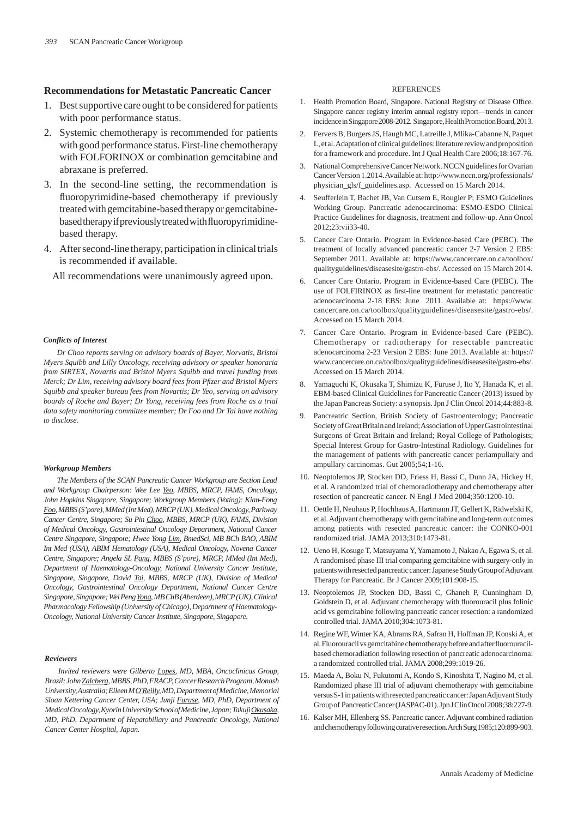## **Recommendations for Metastatic Pancreatic Cancer**

- 1. Best supportive care ought to be considered for patients with poor performance status.
- 2. Systemic chemotherapy is recommended for patients with good performance status. First-line chemotherapy with FOLFORINOX or combination gemcitabine and abraxane is preferred.
- 3. In the second-line setting, the recommendation is fluoropyrimidine-based chemotherapy if previously treated with gemcitabine-based therapy or gemcitabinebased therapy if previously treated with fluoropyrimidinebased therapy.
- 4. After second-line therapy, participation in clinical trials is recommended if available.

All recommendations were unanimously agreed upon.

#### *Confl icts of Interest*

*Dr Choo reports serving on advisory boards of Bayer, Norvatis, Bristol Myers Squibb and Lilly Oncology, receiving advisory or speaker honoraria from SIRTEX, Novartis and Bristol Myers Squibb and travel funding from Merck; Dr Lim, receiving advisory board fees from Pfi zer and Bristol Myers Squibb and speaker bureau fees from Novartis; Dr Yeo, serving on advisory boards of Roche and Bayer; Dr Yong, receiving fees from Roche as a trial data safety monitoring committee member; Dr Foo and Dr Tai have nothing to disclose.*

#### *Workgroup Members*

*The Members of the SCAN Pancreatic Cancer Workgroup are Section Lead and Workgroup Chairperson: Wee Lee Yeo, MBBS, MRCP, FAMS, Oncology, John Hopkins Singapore, Singapore; Workgroup Members (Voting): Kian-Fong Foo, MBBS (S'pore), MMed (Int Med), MRCP (UK), Medical Oncology, Parkway Cancer Centre, Singapore; Su Pin Choo, MBBS, MRCP (UK), FAMS, Division of Medical Oncology, Gastrointestinal Oncology Department, National Cancer Centre Singapore, Singapore; Hwee Yong Lim, BmedSci, MB BCh BAO, ABIM Int Med (USA), ABIM Hematology (USA), Medical Oncology, Novena Cancer Centre, Singapore; Angela SL Pang, MBBS (S'pore), MRCP, MMed (Int Med), Department of Haematology-Oncology, National University Cancer Institute, Singapore, Singapore, David Tai, MBBS, MRCP (UK), Division of Medical Oncology, Gastrointestinal Oncology Department, National Cancer Centre Singapore, Singapore; Wei Peng Yong, MB ChB (Aberdeen), MRCP (UK), Clinical Pharmacology Fellowship (University of Chicago), Department of Haematology-Oncology, National University Cancer Institute, Singapore, Singapore.*

#### *Reviewers*

*Invited reviewers were Gilberto Lopes, MD, MBA, Oncoclinicas Group, Brazil; John Zalcberg, MBBS, PhD, FRACP, Cancer Research Program, Monash University, Australia; Eileen M O'Reilly, MD, Department of Medicine, Memorial Sloan Kettering Cancer Center, USA; Junji Furuse, MD, PhD, Department of Medical Oncology, Kyorin University School of Medicine, Japan; Takuji Okusaka, MD, PhD, Department of Hepatobiliary and Pancreatic Oncology, National Cancer Center Hospital, Japan.*

#### **REFERENCES**

- 1. Health Promotion Board, Singapore. National Registry of Disease Office. Singapore cancer registry interim annual registry report—trends in cancer incidence in Singapore 2008-2012. Singapore, Health Promotion Board, 2013.
- 2. Fervers B, Burgers JS, Haugh MC, Latreille J, Mlika-Cabanne N, Paquet L, et al. Adaptation of clinical guidelines: literature review and proposition for a framework and procedure. Int J Qual Health Care 2006;18:167-76.
- 3. National Comprehensive Cancer Network. NCCN guidelines for Ovarian Cancer Version 1.2014. Available at: http://www.nccn.org/professionals/ physician\_gls/f\_guidelines.asp. Accessed on 15 March 2014.
- 4. Seufferlein T, Bachet JB, Van Cutsem E, Rougier P; ESMO Guidelines Working Group. Pancreatic adenocarcinoma: ESMO-ESDO Clinical Practice Guidelines for diagnosis, treatment and follow-up. Ann Oncol 2012;23:vii33-40.
- 5. Cancer Care Ontario. Program in Evidence-based Care (PEBC). The treatment of locally advanced pancreatic cancer 2-7 Version 2 EBS: September 2011. Available at: https://www.cancercare.on.ca/toolbox/ qualityguidelines/diseasesite/gastro-ebs/. Accessed on 15 March 2014.
- 6. Cancer Care Ontario. Program in Evidence-based Care (PEBC). The use of FOLFIRINOX as first-line treatment for metastatic pancreatic adenocarcinoma 2-18 EBS: June 2011. Available at: https://www. cancercare.on.ca/toolbox/qualityguidelines/diseasesite/gastro-ebs/. Accessed on 15 March 2014.
- 7. Cancer Care Ontario. Program in Evidence-based Care (PEBC). Chemotherapy or radiotherapy for resectable pancreatic adenocarcinoma 2-23 Version 2 EBS: June 2013. Available at: https:// www.cancercare.on.ca/toolbox/qualityguidelines/diseasesite/gastro-ebs/. Accessed on 15 March 2014.
- 8. Yamaguchi K, Okusaka T, Shimizu K, Furuse J, Ito Y, Hanada K, et al. EBM-based Clinical Guidelines for Pancreatic Cancer (2013) issued by the Japan Pancreas Society: a synopsis. Jpn J Clin Oncol 2014;44:883-8.
- 9. Pancreatric Section, British Society of Gastroenterology; Pancreatic Society of Great Britain and Ireland; Association of Upper Gastrointestinal Surgeons of Great Britain and Ireland; Royal College of Pathologists; Special Interest Group for Gastro-Intestinal Radiology. Guidelines for the management of patients with pancreatic cancer periampullary and ampullary carcinomas. Gut 2005;54;1-16.
- 10. Neoptolemos JP, Stocken DD, Friess H, Bassi C, Dunn JA, Hickey H, et al. A randomized trial of chemoradiotherapy and chemotherapy after resection of pancreatic cancer. N Engl J Med 2004;350:1200-10.
- 11. Oettle H, Neuhaus P, Hochhaus A, Hartmann JT, Gellert K, Ridwelski K, et al. Adjuvant chemotherapy with gemcitabine and long-term outcomes among patients with resected pancreatic cancer: the CONKO-001 randomized trial. JAMA 2013;310:1473-81.
- 12. Ueno H, Kosuge T, Matsuyama Y, Yamamoto J, Nakao A, Egawa S, et al. A randomised phase III trial comparing gemcitabine with surgery-only in patients with resected pancreatic cancer: Japanese Study Group of Adjuvant Therapy for Pancreatic. Br J Cancer 2009;101:908-15.
- 13. Neoptolemos JP, Stocken DD, Bassi C, Ghaneh P, Cunningham D, Goldstein D, et al. Adjuvant chemotherapy with fluorouracil plus folinic acid vs gemcitabine following pancreatic cancer resection: a randomized controlled trial. JAMA 2010;304:1073-81.
- 14. Regine WF, Winter KA, Abrams RA, Safran H, Hoffman JP, Konski A, et al. Fluorouracil vs gemcitabine chemotherapy before and after fluorouracilbased chemoradiation following resection of pancreatic adenocarcinoma: a randomized controlled trial. JAMA 2008;299:1019-26.
- 15. Maeda A, Boku N, Fukutomi A, Kondo S, Kinoshita T, Nagino M, et al. Randomized phase III trial of adjuvant chemotherapy with gemcitabine versus S-1 in patients with resected pancreatic cancer: Japan Adjuvant Study Group of Pancreatic Cancer (JASPAC-01). Jpn J Clin Oncol 2008;38:227-9.
- 16. Kalser MH, Ellenberg SS. Pancreatic cancer. Adjuvant combined radiation and chemotherapy following curative resection. Arch Surg 1985;120:899-903.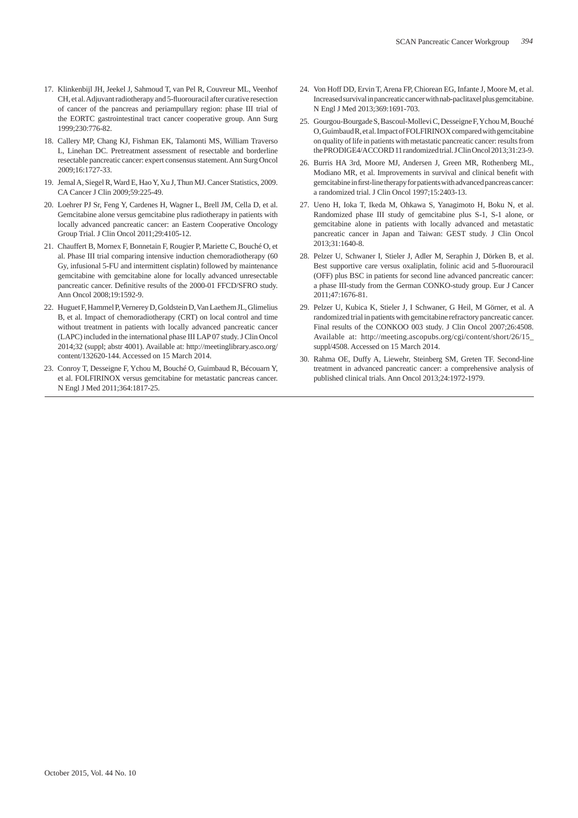- 17. Klinkenbijl JH, Jeekel J, Sahmoud T, van Pel R, Couvreur ML, Veenhof CH, et al. Adjuvant radiotherapy and 5-fluorouracil after curative resection of cancer of the pancreas and periampullary region: phase III trial of the EORTC gastrointestinal tract cancer cooperative group. Ann Surg 1999;230:776-82.
- 18. Callery MP, Chang KJ, Fishman EK, Talamonti MS, William Traverso L, Linehan DC. Pretreatment assessment of resectable and borderline resectable pancreatic cancer: expert consensus statement. Ann Surg Oncol 2009;16:1727-33.
- 19. Jemal A, Siegel R, Ward E, Hao Y, Xu J, Thun MJ. Cancer Statistics, 2009. CA Cancer J Clin 2009;59:225-49.
- 20. Loehrer PJ Sr, Feng Y, Cardenes H, Wagner L, Brell JM, Cella D, et al. Gemcitabine alone versus gemcitabine plus radiotherapy in patients with locally advanced pancreatic cancer: an Eastern Cooperative Oncology Group Trial. J Clin Oncol 2011;29:4105-12.
- 21. Chauffert B, Mornex F, Bonnetain F, Rougier P, Mariette C, Bouché O, et al. Phase III trial comparing intensive induction chemoradiotherapy (60 Gy, infusional 5-FU and intermittent cisplatin) followed by maintenance gemcitabine with gemcitabine alone for locally advanced unresectable pancreatic cancer. Definitive results of the 2000-01 FFCD/SFRO study. Ann Oncol 2008;19:1592-9.
- 22. Huguet F, Hammel P, Vernerey D, Goldstein D, Van Laethem JL, Glimelius B, et al. Impact of chemoradiotherapy (CRT) on local control and time without treatment in patients with locally advanced pancreatic cancer (LAPC) included in the international phase III LAP 07 study. J Clin Oncol 2014;32 (suppl; abstr 4001). Available at: http://meetinglibrary.asco.org/ content/132620-144. Accessed on 15 March 2014.
- 23. Conroy T, Desseigne F, Ychou M, Bouché O, Guimbaud R, Bécouarn Y, et al. FOLFIRINOX versus gemcitabine for metastatic pancreas cancer. N Engl J Med 2011;364:1817-25.
- 24. Von Hoff DD, Ervin T, Arena FP, Chiorean EG, Infante J, Moore M, et al. Increased survival in pancreatic cancer with nab-paclitaxel plus gemcitabine. N Engl J Med 2013;369:1691-703.
- 25. Gourgou-Bourgade S, Bascoul-Mollevi C, Desseigne F, Ychou M, Bouché O, Guimbaud R, et al. Impact of FOLFIRINOX compared with gemcitabine on quality of life in patients with metastatic pancreatic cancer: results from the PRODIGE4/ACCORD 11 randomized trial. J Clin Oncol 2013;31:23-9.
- 26. Burris HA 3rd, Moore MJ, Andersen J, Green MR, Rothenberg ML, Modiano MR, et al. Improvements in survival and clinical benefit with gemcitabine in first-line therapy for patients with advanced pancreas cancer: a randomized trial. J Clin Oncol 1997;15:2403-13.
- 27. Ueno H, Ioka T, Ikeda M, Ohkawa S, Yanagimoto H, Boku N, et al. Randomized phase III study of gemcitabine plus S-1, S-1 alone, or gemcitabine alone in patients with locally advanced and metastatic pancreatic cancer in Japan and Taiwan: GEST study. J Clin Oncol 2013;31:1640-8.
- 28. Pelzer U, Schwaner I, Stieler J, Adler M, Seraphin J, Dörken B, et al. Best supportive care versus oxaliplatin, folinic acid and 5-fluorouracil (OFF) plus BSC in patients for second line advanced pancreatic cancer: a phase III-study from the German CONKO-study group. Eur J Cancer 2011;47:1676-81.
- 29. Pelzer U, Kubica K, Stieler J, I Schwaner, G Heil, M Görner, et al. A randomized trial in patients with gemcitabine refractory pancreatic cancer. Final results of the CONKOO 003 study. J Clin Oncol 2007;26:4508. Available at: http://meeting.ascopubs.org/cgi/content/short/26/15\_ suppl/4508. Accessed on 15 March 2014.
- 30. Rahma OE, Duffy A, Liewehr, Steinberg SM, Greten TF. Second-line treatment in advanced pancreatic cancer: a comprehensive analysis of published clinical trials. Ann Oncol 2013;24:1972-1979.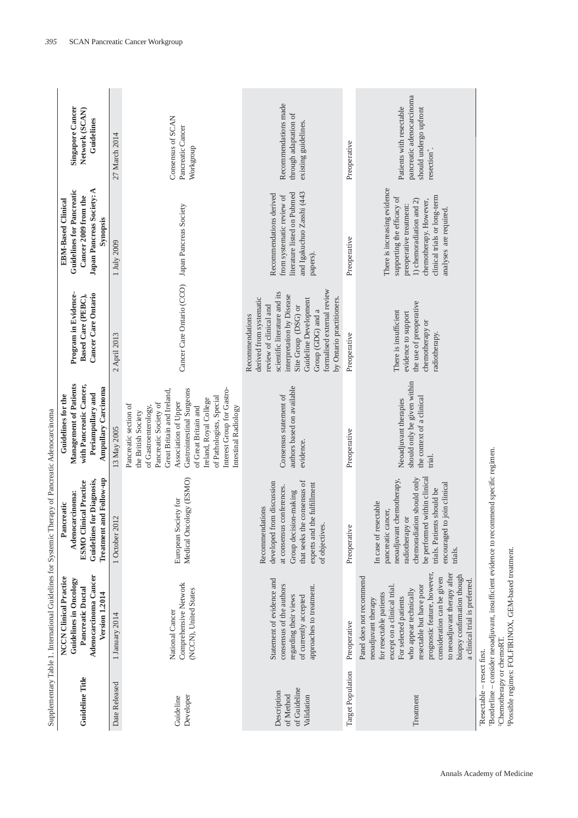|                                                                     | Supplementary Table 1. International Guidelines for Systemic Therapy of Pancreatic Adenocarcinoma                                                                                                                                                                                                                                                      |                                                                                                                                                                                                                                   |                                                                                                                                                                                                                                                                                                                      |                                                                                                                                                                                                                                                                    |                                                                                                                                                                                                       |                                                                                                             |
|---------------------------------------------------------------------|--------------------------------------------------------------------------------------------------------------------------------------------------------------------------------------------------------------------------------------------------------------------------------------------------------------------------------------------------------|-----------------------------------------------------------------------------------------------------------------------------------------------------------------------------------------------------------------------------------|----------------------------------------------------------------------------------------------------------------------------------------------------------------------------------------------------------------------------------------------------------------------------------------------------------------------|--------------------------------------------------------------------------------------------------------------------------------------------------------------------------------------------------------------------------------------------------------------------|-------------------------------------------------------------------------------------------------------------------------------------------------------------------------------------------------------|-------------------------------------------------------------------------------------------------------------|
| Guideline Title                                                     | Adenocarcinoma Cancer<br><b>NCCN</b> Clinical Practice<br>Guidelines in Oncology<br>Pancreatic Ductal<br><b>Version 1.2014</b>                                                                                                                                                                                                                         | Treatment and Follow-up<br><b>Guidelines for Diagnosis,</b><br><b>ESMO Clinical Practice</b><br>Adenocarcinoma:<br>Pancreatic                                                                                                     | Management of Patients<br>with Pancreatic Cancer,<br>Ampullary Carcinoma<br>Periampullary and<br>Guidelines for the                                                                                                                                                                                                  | Program in Evidence-<br>Cancer Care Ontario<br>Based Care (PEBC),                                                                                                                                                                                                  | Japan Pancreas Society: A<br><b>Guidelines for Pancreatic</b><br>Cancer 2009 from the<br><b>EBM-Based Clinical</b><br>Synopsis                                                                        | <b>Singapore Cancer</b><br>Network (SCAN)<br>Guidelines                                                     |
| Date Released                                                       | 1 January 2014                                                                                                                                                                                                                                                                                                                                         | 1 October 2012                                                                                                                                                                                                                    | 13 May 2005                                                                                                                                                                                                                                                                                                          | 2 April 2013                                                                                                                                                                                                                                                       | 1 July 2009                                                                                                                                                                                           | 27 March 2014                                                                                               |
| Developer<br>Guideline                                              | Comprehensive Network<br>(NCCN), United States<br>National Cancer                                                                                                                                                                                                                                                                                      | Medical Oncology (ESMO)<br>European Society for                                                                                                                                                                                   | Interest Group for Gastro-<br>Gastrointestinal Surgeons<br>Great Britain and Ireland,<br>of Pathologists, Special<br>Ireland, Royal College<br>Association of Upper<br>Pancreatic Society of<br>Pancreatic section of<br>of Gastroenterology,<br>of Great Britain and<br>Intestinal Radiology<br>the British Society | Cancer Care Ontario (CCO)                                                                                                                                                                                                                                          | Japan Pancreas Society                                                                                                                                                                                | Consensus of SCAN<br>Pancreatic Cancer<br>Workgroup                                                         |
| of Guideline<br>Description<br>of Method<br>Validation              | Statement of evidence and<br>consensus of the authors<br>approaches to treatment.<br>regarding their views<br>of currently accepted                                                                                                                                                                                                                    | that seeks the consensus of<br>developed from discussion<br>experts and the fulfillment<br>at consensus conferences.<br>Group decision-making<br>Recommendations<br>of objectives.                                                | authors based on available<br>Consensus statement of<br>evidence.                                                                                                                                                                                                                                                    | formalised external review<br>scientific literature and its<br>interpretation by Disease<br>derived from systematic<br>by Ontario practitioners.<br>Guideline Development<br>review of clinical and<br>Site Group (DSG) or<br>Group (GDG) and a<br>Recommendations | and Igakuchuo Zasshi (443<br>literature listed on Pubmed<br>Recommendations derived<br>from systematic review of<br>papers).                                                                          | Recommendations made<br>through adaptation of<br>existing guidelines.                                       |
| Target Population                                                   | Preoperative                                                                                                                                                                                                                                                                                                                                           | Preoperative                                                                                                                                                                                                                      | Preoperative                                                                                                                                                                                                                                                                                                         | Preoperative                                                                                                                                                                                                                                                       | Preoperative                                                                                                                                                                                          | Preoperative                                                                                                |
| Treatment                                                           | prognostic feature, however,<br>to neoadjuvant therapy after<br>biopsy confirmation though<br>Panel does not recommend<br>consideration can be given<br>a clinical trial is preferred.<br>resectable but have poor<br>except on a clinical trial.<br>who appear technically<br>for resectable patients<br>For selected patients<br>neoadjuvant therapy | be performed within clinical<br>chemoradiation should only<br>neoadjuvant chemotherapy,<br>encouraged to join clinical<br>trials. Patients should be<br>In case of resectable<br>pancreatic cancer,<br>radiotherapy or<br>trials. | should only be given within<br>the context of a clinical<br>Neoadjuvant therapies<br>trial.                                                                                                                                                                                                                          | the use of preoperative<br>There is insufficient<br>evidence to support<br>chemotherapy or<br>radiotherapy.                                                                                                                                                        | There is increasing evidence<br>clinical trials or long-term<br>supporting the efficacy of<br>1) chemoradiation and 2)<br>chemotherapy. However,<br>preoperative treatment:<br>analyses are required. | pancreatic adenocarcinoma<br>Patients with resectable<br>should undergo upfront<br>resection <sup>*</sup> . |
| <sup>‡</sup> Chemotherapy or chemoRT.<br>Resectable - resect first. | Borderline - consider neoadjuvant, insufficient evidence to recommend specific regimen.<br><sup>8</sup> Possible regimes: FOLFIRINOX, GEM-based treatment.                                                                                                                                                                                             |                                                                                                                                                                                                                                   |                                                                                                                                                                                                                                                                                                                      |                                                                                                                                                                                                                                                                    |                                                                                                                                                                                                       |                                                                                                             |

SCAN Pancreatic Cancer Workgroup

*395*